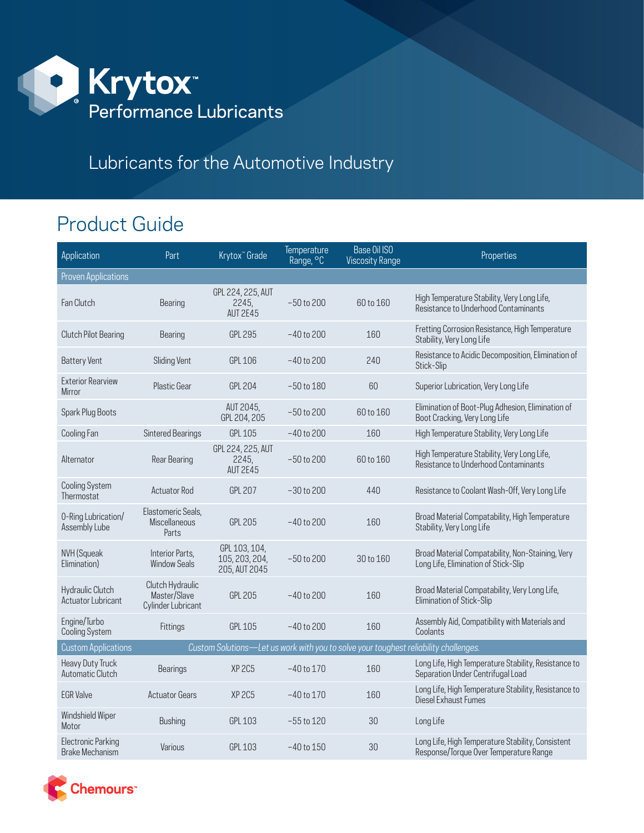

## Lubricants for the Automotive Industry

## Product Guide

| Application                                  | Part                                                   | Krytox" Grade                                                                        | Temperature<br>Range, <sup>o</sup> C | Base Oil ISO<br><b>Viscosity Range</b> | Properties                                                                                  |
|----------------------------------------------|--------------------------------------------------------|--------------------------------------------------------------------------------------|--------------------------------------|----------------------------------------|---------------------------------------------------------------------------------------------|
| <b>Proven Applications</b>                   |                                                        |                                                                                      |                                      |                                        |                                                                                             |
| Fan Clutch                                   | Bearing                                                | GPL 224, 225, AUT<br>2245,<br><b>AUT 2E45</b>                                        | $-50$ to 200                         | 60 to 160                              | High Temperature Stability, Very Long Life,<br>Resistance to Underhood Contaminants         |
| <b>Clutch Pilot Bearing</b>                  | Bearing                                                | <b>GPL 295</b>                                                                       | $-40$ to 200                         | 160                                    | Fretting Corrosion Resistance, High Temperature<br>Stability, Very Long Life                |
| <b>Battery Vent</b>                          | <b>Sliding Vent</b>                                    | <b>GPL 106</b>                                                                       | $-40$ to 200                         | 240                                    | Resistance to Acidic Decomposition, Elimination of<br>Stick-Slip                            |
| <b>Exterior Rearview</b><br>Mirror           | <b>Plastic Gear</b>                                    | <b>GPL 204</b>                                                                       | $-50$ to $180$                       | 60                                     | Superior Lubrication, Very Long Life                                                        |
| Spark Plug Boots                             |                                                        | AUT 2045,<br>GPL 204, 205                                                            | $-50$ to 200                         | 60 to 160                              | Elimination of Boot-Plug Adhesion, Elimination of<br>Boot Cracking, Very Long Life          |
| Cooling Fan                                  | <b>Sintered Bearings</b>                               | <b>GPL 105</b>                                                                       | $-40$ to 200                         | 160                                    | High Temperature Stability, Very Long Life                                                  |
| Alternator                                   | <b>Rear Bearing</b>                                    | GPL 224, 225, AUT<br>2245,<br><b>AUT 2E45</b>                                        | $-50$ to 200                         | 60 to 160                              | High Temperature Stability, Very Long Life,<br>Resistance to Underhood Contaminants         |
| <b>Cooling System</b><br>Thermostat          | <b>Actuator Rod</b>                                    | <b>GPL 207</b>                                                                       | $-30$ to $200$                       | 440                                    | Resistance to Coolant Wash-Off, Very Long Life                                              |
| 0-Ring Lubrication/<br>Assembly Lube         | Elastomeric Seals,<br><b>Miscellaneous</b><br>Parts    | <b>GPL 205</b>                                                                       | $-40$ to 200                         | 160                                    | Broad Material Compatability, High Temperature<br>Stability, Very Long Life                 |
| NVH (Squeak<br>Elimination)                  | Interior Parts,<br><b>Window Seals</b>                 | GPL 103, 104,<br>105, 203, 204,<br>205, AUT 2045                                     | $-50$ to $200$                       | 30 to 160                              | Broad Material Compatability, Non-Staining, Very<br>Long Life, Elimination of Stick-Slip    |
| Hydraulic Clutch<br>Actuator Lubricant       | Clutch Hydraulic<br>Master/Slave<br>Cylinder Lubricant | <b>GPL 205</b>                                                                       | $-40$ to $200$                       | 160                                    | Broad Material Compatability, Very Long Life,<br>Elimination of Stick-Slip                  |
| Engine/Turbo<br><b>Cooling System</b>        | Fittings                                               | <b>GPL 105</b>                                                                       | $-40$ to 200                         | 160                                    | Assembly Aid, Compatibility with Materials and<br>Coolants                                  |
| <b>Custom Applications</b>                   |                                                        | Custom Solutions-Let us work with you to solve your toughest reliability challenges. |                                      |                                        |                                                                                             |
| <b>Heavy Duty Truck</b><br>Automatic Clutch  | <b>Bearings</b>                                        | XP <sub>2C5</sub>                                                                    | $-40$ to $170$                       | 160                                    | Long Life, High Temperature Stability, Resistance to<br>Separation Under Centrifugal Load   |
| <b>EGR Valve</b>                             | <b>Actuator Gears</b>                                  | <b>XP 2C5</b>                                                                        | $-40$ to $170$                       | 160                                    | Long Life, High Temperature Stability, Resistance to<br>Diesel Exhaust Fumes                |
| Windshield Wiper<br>Motor                    | <b>Bushing</b>                                         | <b>GPL 103</b>                                                                       | $-55$ to $120$                       | 30                                     | Long Life                                                                                   |
| <b>Electronic Parking</b><br>Brake Mechanism | Various                                                | <b>GPL 103</b>                                                                       | $-40$ to $150$                       | 30                                     | Long Life, High Temperature Stability, Consistent<br>Response/Torque Over Temperature Range |